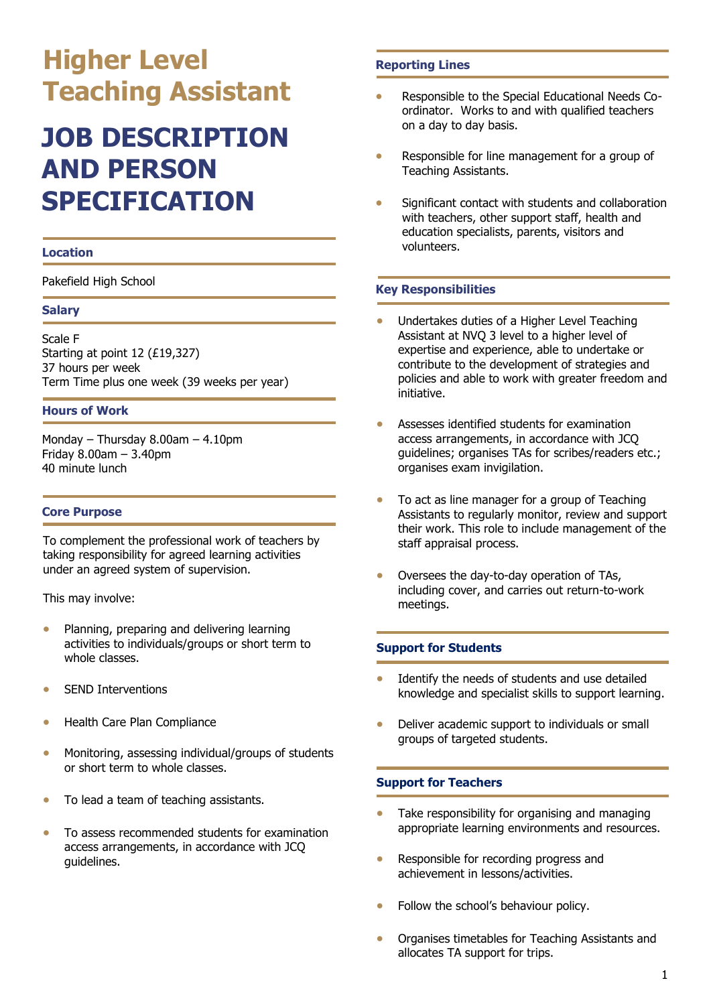## **Higher Level Teaching Assistant**

# **JOB DESCRIPTION AND PERSON SPECIFICATION**

## **Location**

Pakefield High School

## **Salary**

Scale F Starting at point 12 (£19,327) 37 hours per week Term Time plus one week (39 weeks per year)

#### **Hours of Work**

Monday – Thursday 8.00am – 4.10pm Friday 8.00am – 3.40pm 40 minute lunch

#### **Core Purpose**

To complement the professional work of teachers by taking responsibility for agreed learning activities under an agreed system of supervision.

This may involve:

- Planning, preparing and delivering learning activities to individuals/groups or short term to whole classes.
- SEND Interventions
- Health Care Plan Compliance
- Monitoring, assessing individual/groups of students or short term to whole classes.
- To lead a team of teaching assistants.
- To assess recommended students for examination access arrangements, in accordance with JCQ guidelines.

## **Reporting Lines**

- Responsible to the Special Educational Needs Coordinator. Works to and with qualified teachers on a day to day basis.
- Responsible for line management for a group of Teaching Assistants.
- Significant contact with students and collaboration with teachers, other support staff, health and education specialists, parents, visitors and volunteers.

#### **Key Responsibilities**

ľ

- Undertakes duties of a Higher Level Teaching Assistant at NVQ 3 level to a higher level of expertise and experience, able to undertake or contribute to the development of strategies and policies and able to work with greater freedom and initiative.
- Assesses identified students for examination access arrangements, in accordance with JCQ guidelines; organises TAs for scribes/readers etc.; organises exam invigilation.
- To act as line manager for a group of Teaching Assistants to regularly monitor, review and support their work. This role to include management of the staff appraisal process.
- Oversees the day-to-day operation of TAs, including cover, and carries out return-to-work meetings.

## **Support for Students**

- Identify the needs of students and use detailed knowledge and specialist skills to support learning.
- Deliver academic support to individuals or small groups of targeted students.

## **Support for Teachers**

- Take responsibility for organising and managing appropriate learning environments and resources.
- Responsible for recording progress and achievement in lessons/activities.
- Follow the school's behaviour policy.
- **•** Organises timetables for Teaching Assistants and allocates TA support for trips.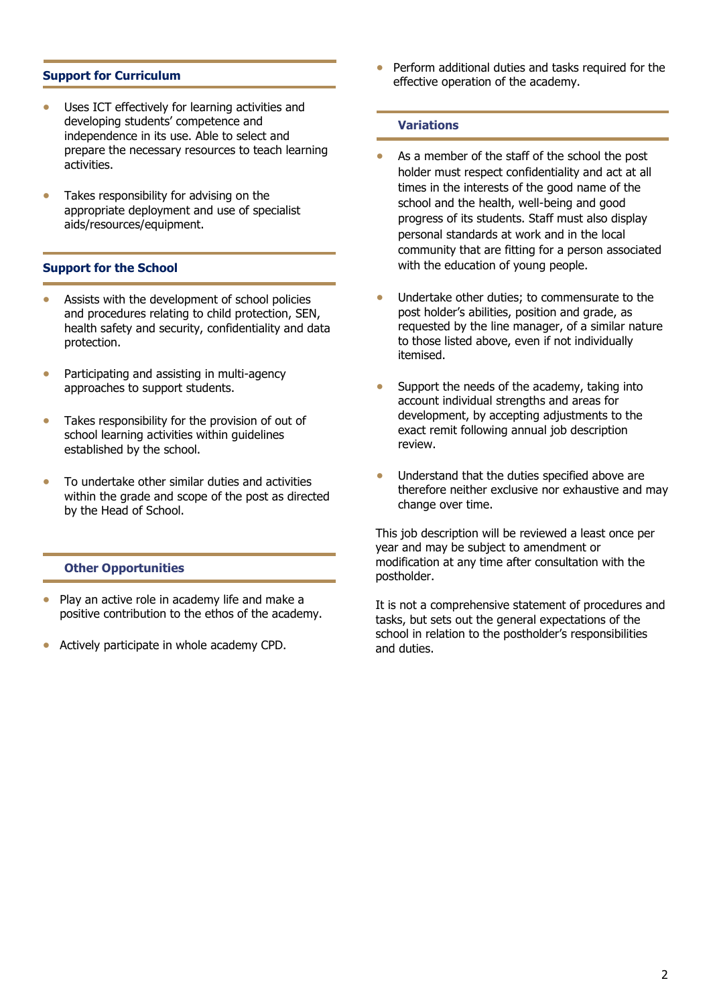## **Support for Curriculum**

- Uses ICT effectively for learning activities and developing students' competence and independence in its use. Able to select and prepare the necessary resources to teach learning activities.
- Takes responsibility for advising on the appropriate deployment and use of specialist aids/resources/equipment.

## **Support for the School**

- Assists with the development of school policies and procedures relating to child protection, SEN, health safety and security, confidentiality and data protection.
- Participating and assisting in multi-agency approaches to support students.
- Takes responsibility for the provision of out of school learning activities within guidelines established by the school.
- To undertake other similar duties and activities within the grade and scope of the post as directed by the Head of School.

## **Other Opportunities**

- Play an active role in academy life and make a positive contribution to the ethos of the academy.
- Actively participate in whole academy CPD.

 Perform additional duties and tasks required for the effective operation of the academy.

## **Variations**

- As a member of the staff of the school the post holder must respect confidentiality and act at all times in the interests of the good name of the school and the health, well-being and good progress of its students. Staff must also display personal standards at work and in the local community that are fitting for a person associated with the education of young people.
- Undertake other duties; to commensurate to the post holder's abilities, position and grade, as requested by the line manager, of a similar nature to those listed above, even if not individually itemised.
- Support the needs of the academy, taking into account individual strengths and areas for development, by accepting adjustments to the exact remit following annual job description review.
- Understand that the duties specified above are therefore neither exclusive nor exhaustive and may change over time.

This job description will be reviewed a least once per year and may be subject to amendment or modification at any time after consultation with the postholder.

It is not a comprehensive statement of procedures and tasks, but sets out the general expectations of the school in relation to the postholder's responsibilities and duties.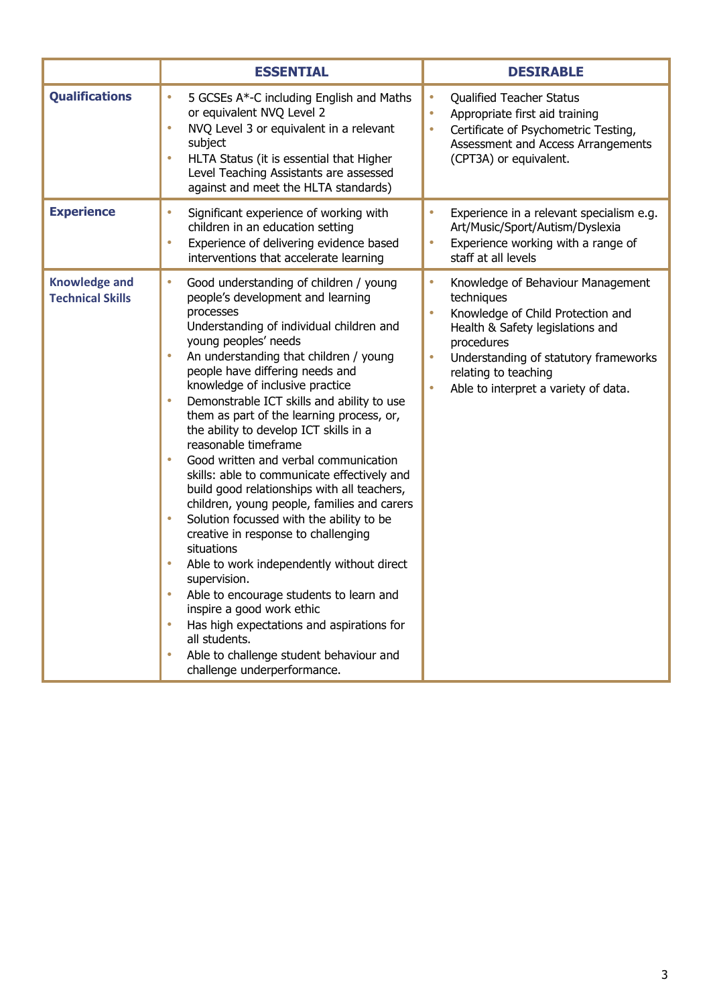|                                                 | <b>ESSENTIAL</b>                                                                                                                                                                                                                                                                                                                                                                                                                                                                                                                                                                                                                                                                                                                                                                                                                                                                                                                                                                                                           | <b>DESIRABLE</b>                                                                                                                                                                                                                                                                                    |
|-------------------------------------------------|----------------------------------------------------------------------------------------------------------------------------------------------------------------------------------------------------------------------------------------------------------------------------------------------------------------------------------------------------------------------------------------------------------------------------------------------------------------------------------------------------------------------------------------------------------------------------------------------------------------------------------------------------------------------------------------------------------------------------------------------------------------------------------------------------------------------------------------------------------------------------------------------------------------------------------------------------------------------------------------------------------------------------|-----------------------------------------------------------------------------------------------------------------------------------------------------------------------------------------------------------------------------------------------------------------------------------------------------|
| <b>Qualifications</b>                           | $\bullet$<br>5 GCSEs A*-C including English and Maths<br>or equivalent NVQ Level 2<br>NVQ Level 3 or equivalent in a relevant<br>$\bullet$<br>subject<br>HLTA Status (it is essential that Higher<br>Level Teaching Assistants are assessed<br>against and meet the HLTA standards)                                                                                                                                                                                                                                                                                                                                                                                                                                                                                                                                                                                                                                                                                                                                        | $\bullet$<br><b>Qualified Teacher Status</b><br>Appropriate first aid training<br>$\bullet$<br>$\bullet$<br>Certificate of Psychometric Testing,<br>Assessment and Access Arrangements<br>(CPT3A) or equivalent.                                                                                    |
| <b>Experience</b>                               | Significant experience of working with<br>۰<br>children in an education setting<br>Experience of delivering evidence based<br>interventions that accelerate learning                                                                                                                                                                                                                                                                                                                                                                                                                                                                                                                                                                                                                                                                                                                                                                                                                                                       | Experience in a relevant specialism e.g.<br>$\bullet$<br>Art/Music/Sport/Autism/Dyslexia<br>Experience working with a range of<br>$\bullet$<br>staff at all levels                                                                                                                                  |
| <b>Knowledge and</b><br><b>Technical Skills</b> | $\bullet$<br>Good understanding of children / young<br>people's development and learning<br>processes<br>Understanding of individual children and<br>young peoples' needs<br>An understanding that children / young<br>people have differing needs and<br>knowledge of inclusive practice<br>Demonstrable ICT skills and ability to use<br>them as part of the learning process, or,<br>the ability to develop ICT skills in a<br>reasonable timeframe<br>Good written and verbal communication<br>skills: able to communicate effectively and<br>build good relationships with all teachers,<br>children, young people, families and carers<br>Solution focussed with the ability to be<br>creative in response to challenging<br>situations<br>Able to work independently without direct<br>supervision.<br>Able to encourage students to learn and<br>inspire a good work ethic<br>Has high expectations and aspirations for<br>all students.<br>Able to challenge student behaviour and<br>challenge underperformance. | $\bullet$<br>Knowledge of Behaviour Management<br>techniques<br>Knowledge of Child Protection and<br>$\bullet$<br>Health & Safety legislations and<br>procedures<br>Understanding of statutory frameworks<br>$\bullet$<br>relating to teaching<br>Able to interpret a variety of data.<br>$\bullet$ |